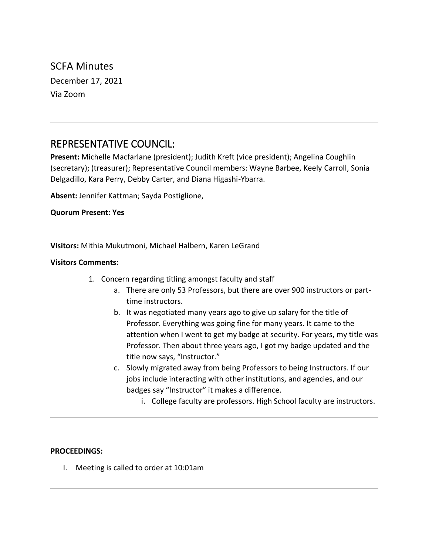SCFA Minutes December 17, 2021 Via Zoom

# REPRESENTATIVE COUNCIL:

**Present:** Michelle Macfarlane (president); Judith Kreft (vice president); Angelina Coughlin (secretary); (treasurer); Representative Council members: Wayne Barbee, Keely Carroll, Sonia Delgadillo, Kara Perry, Debby Carter, and Diana Higashi-Ybarra.

**Absent:** Jennifer Kattman; Sayda Postiglione,

**Quorum Present: Yes**

**Visitors:** Mithia Mukutmoni, Michael Halbern, Karen LeGrand

#### **Visitors Comments:**

- 1. Concern regarding titling amongst faculty and staff
	- a. There are only 53 Professors, but there are over 900 instructors or parttime instructors.
	- b. It was negotiated many years ago to give up salary for the title of Professor. Everything was going fine for many years. It came to the attention when I went to get my badge at security. For years, my title was Professor. Then about three years ago, I got my badge updated and the title now says, "Instructor."
	- c. Slowly migrated away from being Professors to being Instructors. If our jobs include interacting with other institutions, and agencies, and our badges say "Instructor" it makes a difference.
		- i. College faculty are professors. High School faculty are instructors.

### **PROCEEDINGS:**

I. Meeting is called to order at 10:01am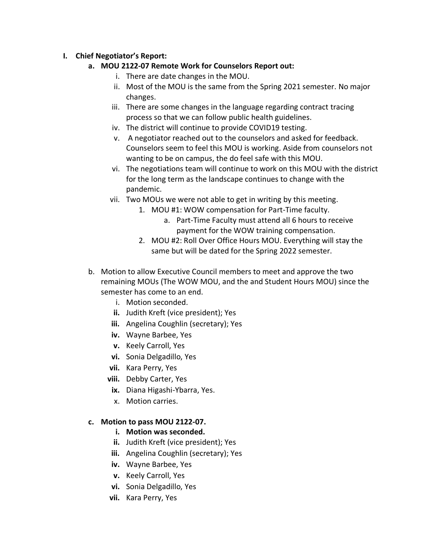# **I. Chief Negotiator's Report:**

- **a. MOU 2122-07 Remote Work for Counselors Report out:**
	- i. There are date changes in the MOU.
	- ii. Most of the MOU is the same from the Spring 2021 semester. No major changes.
	- iii. There are some changes in the language regarding contract tracing process so that we can follow public health guidelines.
	- iv. The district will continue to provide COVID19 testing.
	- v. A negotiator reached out to the counselors and asked for feedback. Counselors seem to feel this MOU is working. Aside from counselors not wanting to be on campus, the do feel safe with this MOU.
	- vi. The negotiations team will continue to work on this MOU with the district for the long term as the landscape continues to change with the pandemic.
	- vii. Two MOUs we were not able to get in writing by this meeting.
		- 1. MOU #1: WOW compensation for Part-Time faculty.
			- a. Part-Time Faculty must attend all 6 hours to receive payment for the WOW training compensation.
		- 2. MOU #2: Roll Over Office Hours MOU. Everything will stay the same but will be dated for the Spring 2022 semester.
- b. Motion to allow Executive Council members to meet and approve the two remaining MOUs (The WOW MOU, and the and Student Hours MOU) since the semester has come to an end.
	- i. Motion seconded.
	- **ii.** Judith Kreft (vice president); Yes
	- **iii.** Angelina Coughlin (secretary); Yes
	- **iv.** Wayne Barbee, Yes
	- **v.** Keely Carroll, Yes
	- **vi.** Sonia Delgadillo, Yes
	- **vii.** Kara Perry, Yes
	- **viii.** Debby Carter, Yes
	- **ix.** Diana Higashi-Ybarra, Yes.
	- x. Motion carries.

### **c. Motion to pass MOU 2122-07.**

- **i. Motion was seconded.**
- **ii.** Judith Kreft (vice president); Yes
- **iii.** Angelina Coughlin (secretary); Yes
- **iv.** Wayne Barbee, Yes
- **v.** Keely Carroll, Yes
- **vi.** Sonia Delgadillo, Yes
- **vii.** Kara Perry, Yes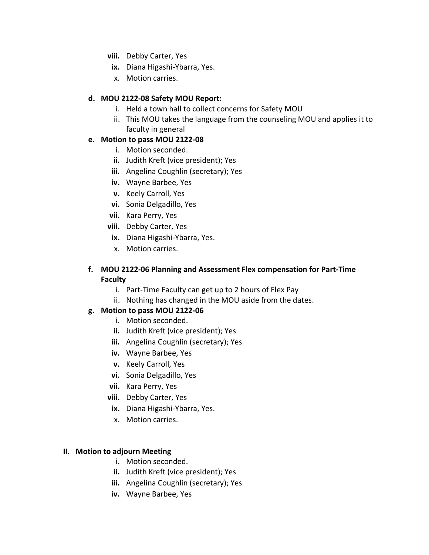- **viii.** Debby Carter, Yes
- **ix.** Diana Higashi-Ybarra, Yes.
- x. Motion carries.

## **d. MOU 2122-08 Safety MOU Report:**

- i. Held a town hall to collect concerns for Safety MOU
- ii. This MOU takes the language from the counseling MOU and applies it to faculty in general

## **e. Motion to pass MOU 2122-08**

- i. Motion seconded.
- **ii.** Judith Kreft (vice president); Yes
- **iii.** Angelina Coughlin (secretary); Yes
- **iv.** Wayne Barbee, Yes
- **v.** Keely Carroll, Yes
- **vi.** Sonia Delgadillo, Yes
- **vii.** Kara Perry, Yes
- **viii.** Debby Carter, Yes
- **ix.** Diana Higashi-Ybarra, Yes.
- x. Motion carries.

## **f. MOU 2122-06 Planning and Assessment Flex compensation for Part-Time Faculty**

- i. Part-Time Faculty can get up to 2 hours of Flex Pay
- ii. Nothing has changed in the MOU aside from the dates.

# **g. Motion to pass MOU 2122-06**

- i. Motion seconded.
- **ii.** Judith Kreft (vice president); Yes
- **iii.** Angelina Coughlin (secretary); Yes
- **iv.** Wayne Barbee, Yes
- **v.** Keely Carroll, Yes
- **vi.** Sonia Delgadillo, Yes
- **vii.** Kara Perry, Yes
- **viii.** Debby Carter, Yes
- **ix.** Diana Higashi-Ybarra, Yes.
- x. Motion carries.

### **II. Motion to adjourn Meeting**

- i. Motion seconded.
- **ii.** Judith Kreft (vice president); Yes
- **iii.** Angelina Coughlin (secretary); Yes
- **iv.** Wayne Barbee, Yes